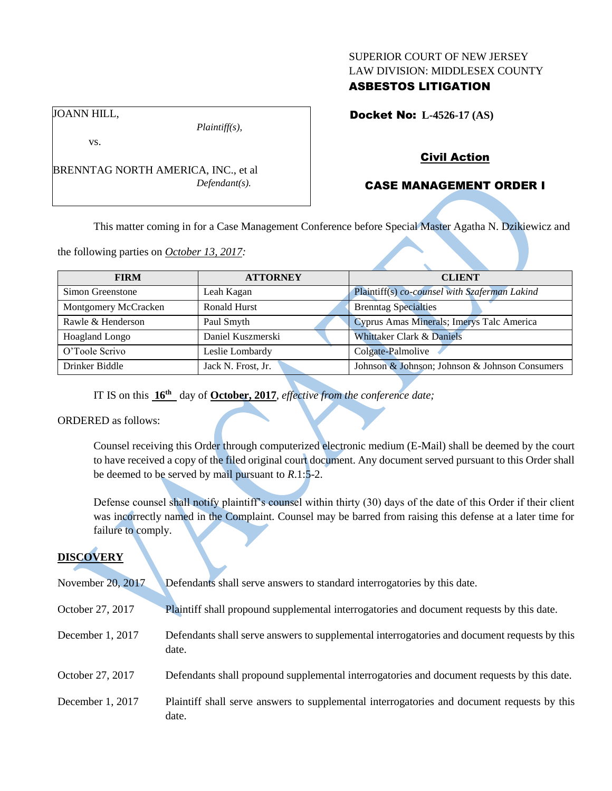#### SUPERIOR COURT OF NEW JERSEY LAW DIVISION: MIDDLESEX COUNTY

# ASBESTOS LITIGATION

Docket No: **L-4526-17 (AS)** 

JOANN HILL,

vs.

BRENNTAG NORTH AMERICA, INC., et al *Defendant(s).*

*Plaintiff(s),*

## Civil Action

# CASE MANAGEMENT ORDER I

This matter coming in for a Case Management Conference before Special Master Agatha N. Dzikiewicz and

the following parties on *October 13, 2017:*

| <b>FIRM</b>          | <b>ATTORNEY</b>    | <b>CLIENT</b>                                  |
|----------------------|--------------------|------------------------------------------------|
|                      |                    |                                                |
| Simon Greenstone     | Leah Kagan         | Plaintiff(s) co-counsel with Szaferman Lakind  |
| Montgomery McCracken | Ronald Hurst       | <b>Brenntag Specialties</b>                    |
| Rawle & Henderson    | Paul Smyth         | Cyprus Amas Minerals; Imerys Talc America      |
| Hoagland Longo       | Daniel Kuszmerski  | Whittaker Clark & Daniels                      |
| O'Toole Scrivo       | Leslie Lombardy    | Colgate-Palmolive                              |
| Drinker Biddle       | Jack N. Frost, Jr. | Johnson & Johnson; Johnson & Johnson Consumers |

IT IS on this **16th** day of **October, 2017**, *effective from the conference date;*

ORDERED as follows:

Counsel receiving this Order through computerized electronic medium (E-Mail) shall be deemed by the court to have received a copy of the filed original court document. Any document served pursuant to this Order shall be deemed to be served by mail pursuant to *R*.1:5-2.

Defense counsel shall notify plaintiff's counsel within thirty (30) days of the date of this Order if their client was incorrectly named in the Complaint. Counsel may be barred from raising this defense at a later time for failure to comply.

# **DISCOVERY**

| November 20, 2017 | Defendants shall serve answers to standard interrogatories by this date.                              |
|-------------------|-------------------------------------------------------------------------------------------------------|
| October 27, 2017  | Plaintiff shall propound supplemental interrogatories and document requests by this date.             |
| December 1, 2017  | Defendants shall serve answers to supplemental interrogatories and document requests by this<br>date. |
| October 27, 2017  | Defendants shall propound supplemental interrogatories and document requests by this date.            |
| December 1, 2017  | Plaintiff shall serve answers to supplemental interrogatories and document requests by this<br>date.  |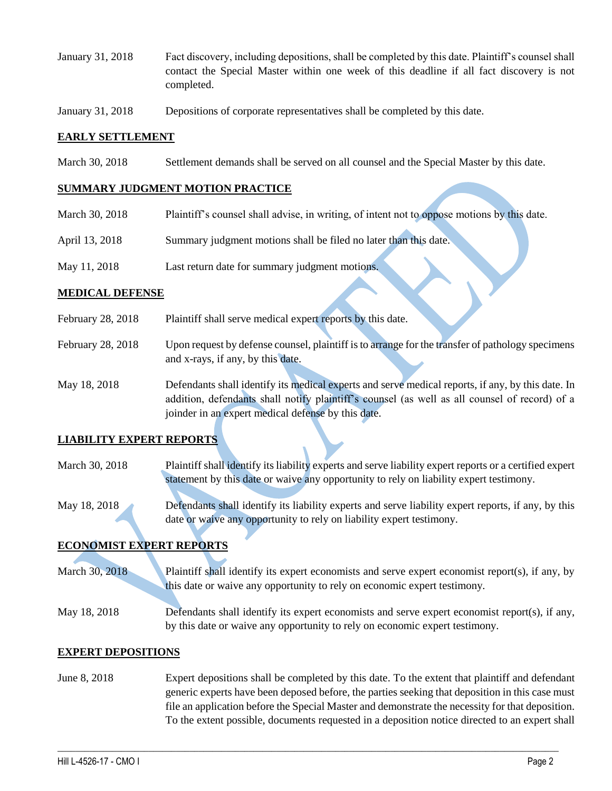- January 31, 2018 Fact discovery, including depositions, shall be completed by this date. Plaintiff's counsel shall contact the Special Master within one week of this deadline if all fact discovery is not completed.
- January 31, 2018 Depositions of corporate representatives shall be completed by this date.

### **EARLY SETTLEMENT**

March 30, 2018 Settlement demands shall be served on all counsel and the Special Master by this date.

### **SUMMARY JUDGMENT MOTION PRACTICE**

- March 30, 2018 Plaintiff's counsel shall advise, in writing, of intent not to oppose motions by this date.
- April 13, 2018 Summary judgment motions shall be filed no later than this date.
- May 11, 2018 Last return date for summary judgment motions.

#### **MEDICAL DEFENSE**

- February 28, 2018 Plaintiff shall serve medical expert reports by this date.
- February 28, 2018 Upon request by defense counsel, plaintiff is to arrange for the transfer of pathology specimens and x-rays, if any, by this date.
- May 18, 2018 Defendants shall identify its medical experts and serve medical reports, if any, by this date. In addition, defendants shall notify plaintiff's counsel (as well as all counsel of record) of a joinder in an expert medical defense by this date.

## **LIABILITY EXPERT REPORTS**

- March 30, 2018 Plaintiff shall identify its liability experts and serve liability expert reports or a certified expert statement by this date or waive any opportunity to rely on liability expert testimony.
- May 18, 2018 Defendants shall identify its liability experts and serve liability expert reports, if any, by this date or waive any opportunity to rely on liability expert testimony.

## **ECONOMIST EXPERT REPORTS**

March 30, 2018 Plaintiff shall identify its expert economists and serve expert economist report(s), if any, by this date or waive any opportunity to rely on economic expert testimony.

May 18, 2018 Defendants shall identify its expert economists and serve expert economist report(s), if any, by this date or waive any opportunity to rely on economic expert testimony.

#### **EXPERT DEPOSITIONS**

June 8, 2018 Expert depositions shall be completed by this date. To the extent that plaintiff and defendant generic experts have been deposed before, the parties seeking that deposition in this case must file an application before the Special Master and demonstrate the necessity for that deposition. To the extent possible, documents requested in a deposition notice directed to an expert shall

 $\_$  ,  $\_$  ,  $\_$  ,  $\_$  ,  $\_$  ,  $\_$  ,  $\_$  ,  $\_$  ,  $\_$  ,  $\_$  ,  $\_$  ,  $\_$  ,  $\_$  ,  $\_$  ,  $\_$  ,  $\_$  ,  $\_$  ,  $\_$  ,  $\_$  ,  $\_$  ,  $\_$  ,  $\_$  ,  $\_$  ,  $\_$  ,  $\_$  ,  $\_$  ,  $\_$  ,  $\_$  ,  $\_$  ,  $\_$  ,  $\_$  ,  $\_$  ,  $\_$  ,  $\_$  ,  $\_$  ,  $\_$  ,  $\_$  ,